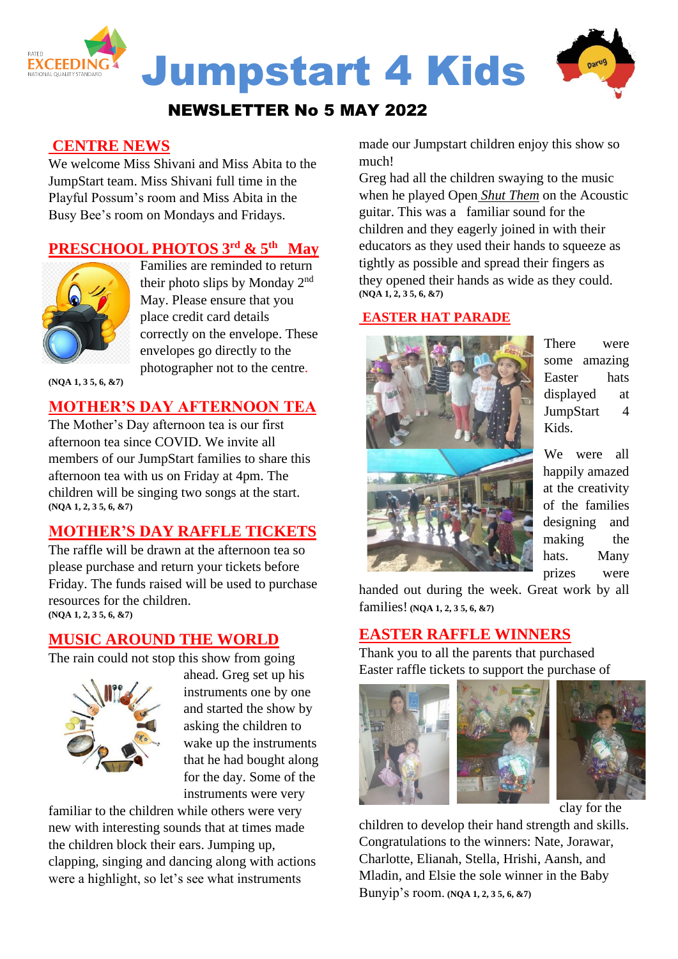



### **CENTRE NEWS**

We welcome Miss Shivani and Miss Abita to the JumpStart team. Miss Shivani full time in the Playful Possum's room and Miss Abita in the Busy Bee's room on Mondays and Fridays.

# **PRESCHOOL PHOTOS 3 rd & 5th May**



Families are reminded to return their photo slips by Monday 2nd May. Please ensure that you place credit card details correctly on the envelope. These envelopes go directly to the photographer not to the centre.

**(NQA 1, 3 5, 6, &7)**

### **MOTHER'S DAY AFTERNOON TEA**

The Mother's Day afternoon tea is our first afternoon tea since COVID. We invite all members of our JumpStart families to share this afternoon tea with us on Friday at 4pm. The children will be singing two songs at the start. **(NQA 1, 2, 3 5, 6, &7)**

### **MOTHER'S DAY RAFFLE TICKETS**

The raffle will be drawn at the afternoon tea so please purchase and return your tickets before Friday. The funds raised will be used to purchase resources for the children. **(NQA 1, 2, 3 5, 6, &7)**

## **MUSIC AROUND THE WORLD**

The rain could not stop this show from going



ahead. Greg set up his instruments one by one and started the show by asking the children to wake up the instruments that he had bought along for the day. Some of the instruments were very

familiar to the children while others were very new with interesting sounds that at times made the children block their ears. Jumping up, clapping, singing and dancing along with actions were a highlight, so let's see what instruments

made our Jumpstart children enjoy this show so much!

Greg had all the children swaying to the music when he played Open *Shut Them* on the Acoustic guitar. This was a familiar sound for the children and they eagerly joined in with their educators as they used their hands to squeeze as tightly as possible and spread their fingers as they opened their hands as wide as they could. **(NQA 1, 2, 3 5, 6, &7)**

### **EASTER HAT PARADE**



There were some amazing Easter hats displayed at JumpStart 4 Kids.

We were all happily amazed at the creativity of the families designing and making the hats. Many prizes were

handed out during the week. Great work by all families! **(NQA 1, 2, 3 5, 6, &7)**

# **EASTER RAFFLE WINNERS**

Thank you to all the parents that purchased Easter raffle tickets to support the purchase of





clay for the

children to develop their hand strength and skills. Congratulations to the winners: Nate, Jorawar, Charlotte, Elianah, Stella, Hrishi, Aansh, and Mladin, and Elsie the sole winner in the Baby Bunyip's room. **(NQA 1, 2, 3 5, 6, &7)**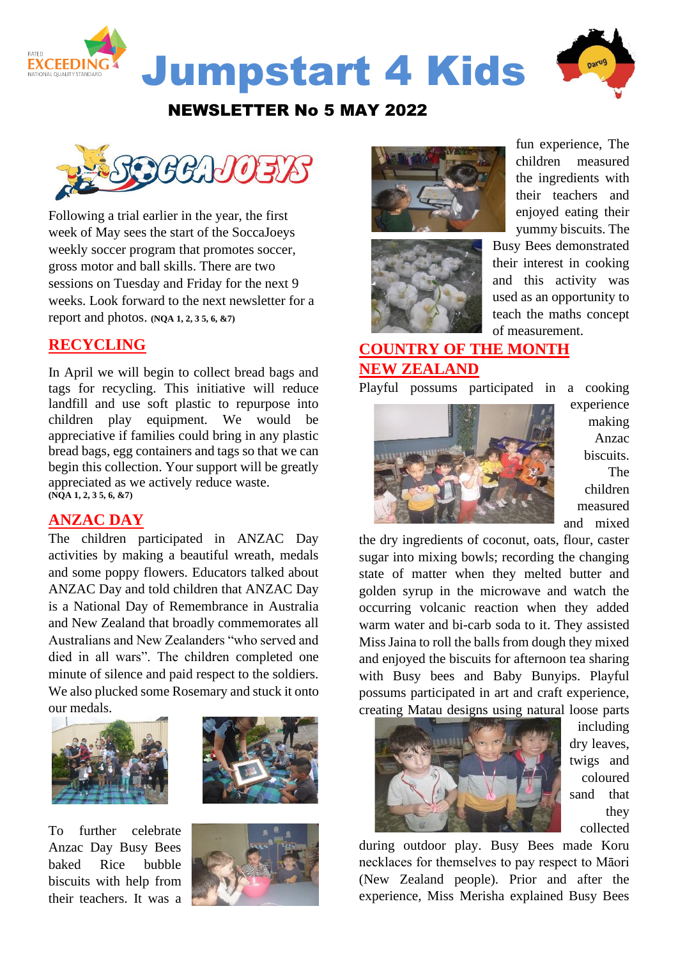





Following a trial earlier in the year, the first week of May sees the start of the SoccaJoeys weekly soccer program that promotes soccer, gross motor and ball skills. There are two sessions on Tuesday and Friday for the next 9 weeks. Look forward to the next newsletter for a report and photos. **(NQA 1, 2, 3 5, 6, &7)**

### **RECYCLING**

In April we will begin to collect bread bags and tags for recycling. This initiative will reduce landfill and use soft plastic to repurpose into children play equipment. We would be appreciative if families could bring in any plastic bread bags, egg containers and tags so that we can begin this collection. Your support will be greatly appreciated as we actively reduce waste. **(NQA 1, 2, 3 5, 6, &7)**

#### **ANZAC DAY**

The children participated in ANZAC Day activities by making a beautiful wreath, medals and some poppy flowers. Educators talked about ANZAC Day and told children that ANZAC Day is a National Day of Remembrance in Australia and New Zealand that broadly commemorates all Australians and New Zealanders "who served and died in all wars". The children completed one minute of silence and paid respect to the soldiers. We also plucked some Rosemary and stuck it onto our medals.





To further celebrate Anzac Day Busy Bees baked Rice bubble biscuits with help from their teachers. It was a







fun experience, The children measured the ingredients with their teachers and enjoyed eating their yummy biscuits. The

Busy Bees demonstrated their interest in cooking and this activity was used as an opportunity to teach the maths concept of measurement.

# **COUNTRY OF THE MONTH NEW ZEALAND**

Playful possums participated in a cooking



experience making Anzac biscuits. The children measured and mixed

the dry ingredients of coconut, oats, flour, caster sugar into mixing bowls; recording the changing state of matter when they melted butter and golden syrup in the microwave and watch the occurring volcanic reaction when they added warm water and bi-carb soda to it. They assisted Miss Jaina to roll the balls from dough they mixed and enjoyed the biscuits for afternoon tea sharing with Busy bees and Baby Bunyips. Playful possums participated in art and craft experience, creating Matau designs using natural loose parts



including dry leaves, twigs and coloured sand that they collected

during outdoor play. Busy Bees made Koru necklaces for themselves to pay respect to Māori (New Zealand people). Prior and after the experience, Miss Merisha explained Busy Bees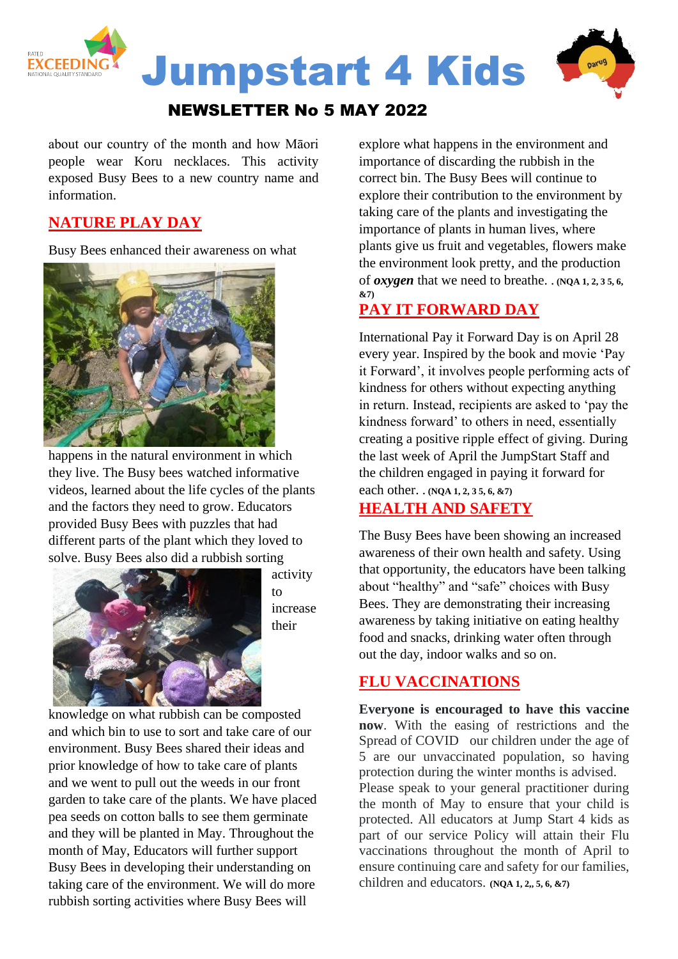

Jumpstart 4 Kids



# NEWSLETTER No 5 MAY 2022

about our country of the month and how Māori people wear Koru necklaces. This activity exposed Busy Bees to a new country name and information.

# **NATURE PLAY DAY**

Busy Bees enhanced their awareness on what



happens in the natural environment in which they live. The Busy bees watched informative videos, learned about the life cycles of the plants and the factors they need to grow. Educators provided Busy Bees with puzzles that had different parts of the plant which they loved to solve. Busy Bees also did a rubbish sorting



activity to increase their

knowledge on what rubbish can be composted and which bin to use to sort and take care of our environment. Busy Bees shared their ideas and prior knowledge of how to take care of plants and we went to pull out the weeds in our front garden to take care of the plants. We have placed pea seeds on cotton balls to see them germinate and they will be planted in May. Throughout the month of May, Educators will further support Busy Bees in developing their understanding on taking care of the environment. We will do more rubbish sorting activities where Busy Bees will

explore what happens in the environment and importance of discarding the rubbish in the correct bin. The Busy Bees will continue to explore their contribution to the environment by taking care of the plants and investigating the importance of plants in human lives, where plants give us fruit and vegetables, flowers make the environment look pretty, and the production of *oxygen* that we need to breathe. . **(NQA 1, 2, 3 5, 6, &7)**

## **PAY IT FORWARD DAY**

International Pay it Forward Day is on April 28 every year. Inspired by the book and movie 'Pay it Forward', it involves people performing acts of kindness for others without expecting anything in return. Instead, recipients are asked to 'pay the kindness forward' to others in need, essentially creating a positive ripple effect of giving. During the last week of April the JumpStart Staff and the children engaged in paying it forward for each other. . **(NQA 1, 2, 3 5, 6, &7)**

## **HEALTH AND SAFETY**

The Busy Bees have been showing an increased awareness of their own health and safety. Using that opportunity, the educators have been talking about "healthy" and "safe" choices with Busy Bees. They are demonstrating their increasing awareness by taking initiative on eating healthy food and snacks, drinking water often through out the day, indoor walks and so on.

# **FLU VACCINATIONS**

**Everyone is encouraged to have this vaccine now**. With the easing of restrictions and the Spread of COVID our children under the age of 5 are our unvaccinated population, so having protection during the winter months is advised. Please speak to your general practitioner during the month of May to ensure that your child is protected. All educators at Jump Start 4 kids as part of our service Policy will attain their Flu vaccinations throughout the month of April to ensure continuing care and safety for our families, children and educators. **(NQA 1, 2,, 5, 6, &7)**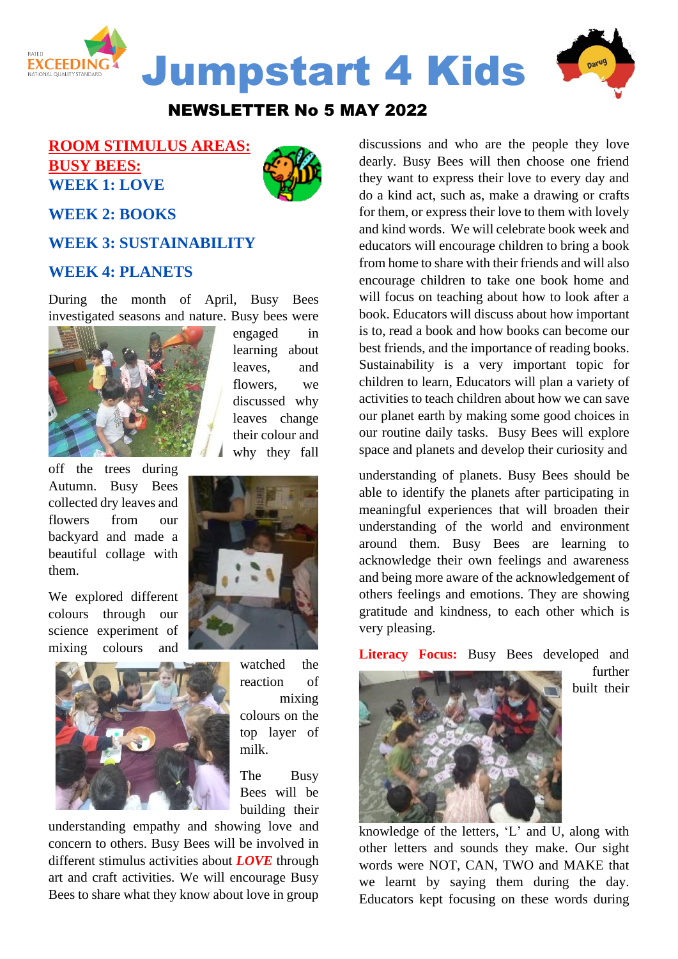



### **ROOM STIMULUS AREAS: BUSY BEES: WEEK 1: LOVE**



#### **WEEK 2: BOOKS**

#### **WEEK 3: SUSTAINABILITY**

#### **WEEK 4: PLANETS**

During the month of April, Busy Bees investigated seasons and nature. Busy bees were



engaged in learning about leaves, and flowers we discussed why leaves change their colour and why they fall

off the trees during Autumn. Busy Bees collected dry leaves and flowers from our backyard and made a beautiful collage with them.

We explored different colours through our science experiment of mixing colours and



watched the reaction of mixing colours on the top layer of milk.

The Busy Bees will be building their

understanding empathy and showing love and concern to others. Busy Bees will be involved in different stimulus activities about *LOVE* through art and craft activities. We will encourage Busy Bees to share what they know about love in group

discussions and who are the people they love dearly. Busy Bees will then choose one friend they want to express their love to every day and do a kind act, such as, make a drawing or crafts for them, or express their love to them with lovely and kind words. We will celebrate book week and educators will encourage children to bring a book from home to share with their friends and will also encourage children to take one book home and will focus on teaching about how to look after a book. Educators will discuss about how important is to, read a book and how books can become our best friends, and the importance of reading books. Sustainability is a very important topic for children to learn, Educators will plan a variety of activities to teach children about how we can save our planet earth by making some good choices in our routine daily tasks. Busy Bees will explore space and planets and develop their curiosity and

understanding of planets. Busy Bees should be able to identify the planets after participating in meaningful experiences that will broaden their understanding of the world and environment around them. Busy Bees are learning to acknowledge their own feelings and awareness and being more aware of the acknowledgement of others feelings and emotions. They are showing gratitude and kindness, to each other which is very pleasing.

Literacy Focus: Busy Bees developed and

other letters and sounds they make. Our sight words were NOT, CAN, TWO and MAKE that we learnt by saying them during the day. Educators kept focusing on these words during



further built their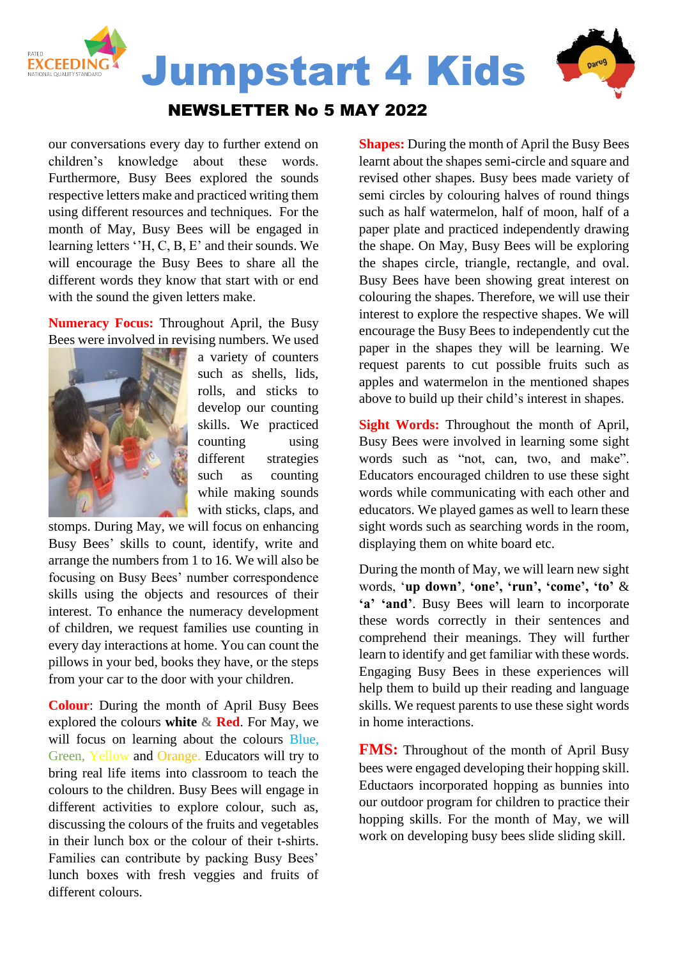

Jumpstart 4 Kids



## NEWSLETTER No 5 MAY 2022

our conversations every day to further extend on children's knowledge about these words. Furthermore, Busy Bees explored the sounds respective letters make and practiced writing them using different resources and techniques. For the month of May, Busy Bees will be engaged in learning letters ''H, C, B, E' and their sounds. We will encourage the Busy Bees to share all the different words they know that start with or end with the sound the given letters make.

**Numeracy Focus:** Throughout April, the Busy Bees were involved in revising numbers. We used



a variety of counters such as shells, lids, rolls, and sticks to develop our counting skills. We practiced counting using different strategies such as counting while making sounds with sticks, claps, and

stomps. During May, we will focus on enhancing Busy Bees' skills to count, identify, write and arrange the numbers from 1 to 16. We will also be focusing on Busy Bees' number correspondence skills using the objects and resources of their interest. To enhance the numeracy development of children, we request families use counting in every day interactions at home. You can count the pillows in your bed, books they have, or the steps from your car to the door with your children.

**Colour**: During the month of April Busy Bees explored the colours **white & Red**. For May, we will focus on learning about the colours Blue, Green, Yellow and Orange. Educators will try to bring real life items into classroom to teach the colours to the children. Busy Bees will engage in different activities to explore colour, such as, discussing the colours of the fruits and vegetables in their lunch box or the colour of their t-shirts. Families can contribute by packing Busy Bees' lunch boxes with fresh veggies and fruits of different colours.

**Shapes:** During the month of April the Busy Bees learnt about the shapes semi-circle and square and revised other shapes. Busy bees made variety of semi circles by colouring halves of round things such as half watermelon, half of moon, half of a paper plate and practiced independently drawing the shape. On May, Busy Bees will be exploring the shapes circle, triangle, rectangle, and oval. Busy Bees have been showing great interest on colouring the shapes. Therefore, we will use their interest to explore the respective shapes. We will encourage the Busy Bees to independently cut the paper in the shapes they will be learning. We request parents to cut possible fruits such as apples and watermelon in the mentioned shapes above to build up their child's interest in shapes.

**Sight Words:** Throughout the month of April, Busy Bees were involved in learning some sight words such as "not, can, two, and make". Educators encouraged children to use these sight words while communicating with each other and educators. We played games as well to learn these sight words such as searching words in the room, displaying them on white board etc.

During the month of May, we will learn new sight words, '**up down'**, **'one', 'run', 'come', 'to'** & **'a' 'and'**. Busy Bees will learn to incorporate these words correctly in their sentences and comprehend their meanings. They will further learn to identify and get familiar with these words. Engaging Busy Bees in these experiences will help them to build up their reading and language skills. We request parents to use these sight words in home interactions.

**FMS:** Throughout of the month of April Busy bees were engaged developing their hopping skill. Eductaors incorporated hopping as bunnies into our outdoor program for children to practice their hopping skills. For the month of May, we will work on developing busy bees slide sliding skill.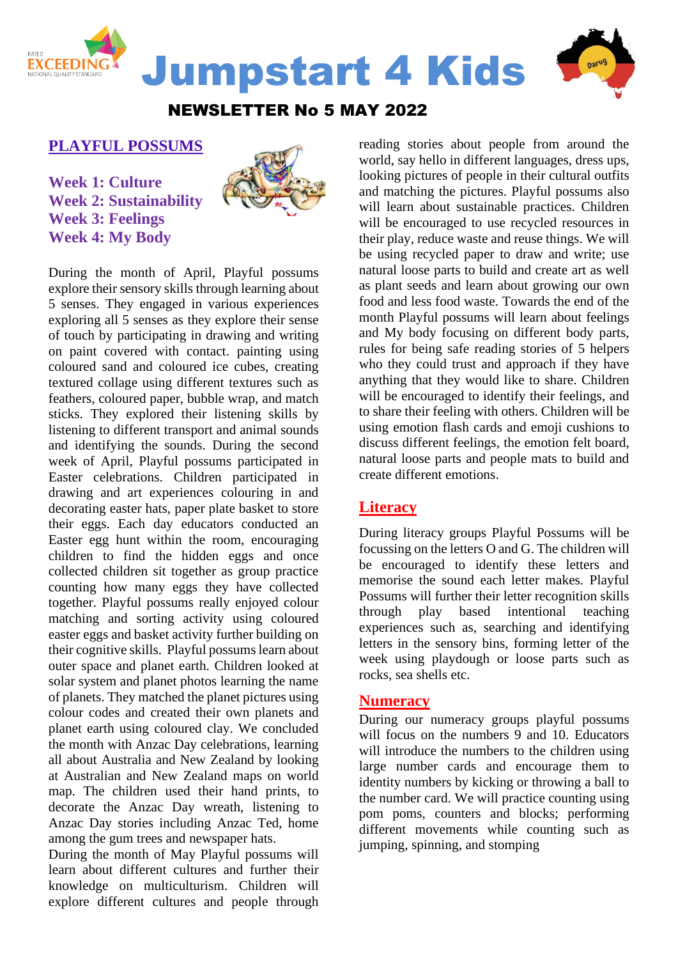



### **PLAYFUL POSSUMS**

**Week 1: Culture Week 2: Sustainability Week 3: Feelings Week 4: My Body**



During the month of April, Playful possums explore their sensory skills through learning about 5 senses. They engaged in various experiences exploring all 5 senses as they explore their sense of touch by participating in drawing and writing on paint covered with contact. painting using coloured sand and coloured ice cubes, creating textured collage using different textures such as feathers, coloured paper, bubble wrap, and match sticks. They explored their listening skills by listening to different transport and animal sounds and identifying the sounds. During the second week of April, Playful possums participated in Easter celebrations. Children participated in drawing and art experiences colouring in and decorating easter hats, paper plate basket to store their eggs. Each day educators conducted an Easter egg hunt within the room, encouraging children to find the hidden eggs and once collected children sit together as group practice counting how many eggs they have collected together. Playful possums really enjoyed colour matching and sorting activity using coloured easter eggs and basket activity further building on their cognitive skills. Playful possums learn about outer space and planet earth. Children looked at solar system and planet photos learning the name of planets. They matched the planet pictures using colour codes and created their own planets and planet earth using coloured clay. We concluded the month with Anzac Day celebrations, learning all about Australia and New Zealand by looking at Australian and New Zealand maps on world map. The children used their hand prints, to decorate the Anzac Day wreath, listening to Anzac Day stories including Anzac Ted, home among the gum trees and newspaper hats.

During the month of May Playful possums will learn about different cultures and further their knowledge on multiculturism. Children will explore different cultures and people through

reading stories about people from around the world, say hello in different languages, dress ups, looking pictures of people in their cultural outfits and matching the pictures. Playful possums also will learn about sustainable practices. Children will be encouraged to use recycled resources in their play, reduce waste and reuse things. We will be using recycled paper to draw and write; use natural loose parts to build and create art as well as plant seeds and learn about growing our own food and less food waste. Towards the end of the month Playful possums will learn about feelings and My body focusing on different body parts, rules for being safe reading stories of 5 helpers who they could trust and approach if they have anything that they would like to share. Children will be encouraged to identify their feelings, and to share their feeling with others. Children will be using emotion flash cards and emoji cushions to discuss different feelings, the emotion felt board, natural loose parts and people mats to build and create different emotions.

## **Literacy**

During literacy groups Playful Possums will be focussing on the letters O and G. The children will be encouraged to identify these letters and memorise the sound each letter makes. Playful Possums will further their letter recognition skills through play based intentional teaching experiences such as, searching and identifying letters in the sensory bins, forming letter of the week using playdough or loose parts such as rocks, sea shells etc.

#### **Numeracy**

During our numeracy groups playful possums will focus on the numbers 9 and 10. Educators will introduce the numbers to the children using large number cards and encourage them to identity numbers by kicking or throwing a ball to the number card. We will practice counting using pom poms, counters and blocks; performing different movements while counting such as jumping, spinning, and stomping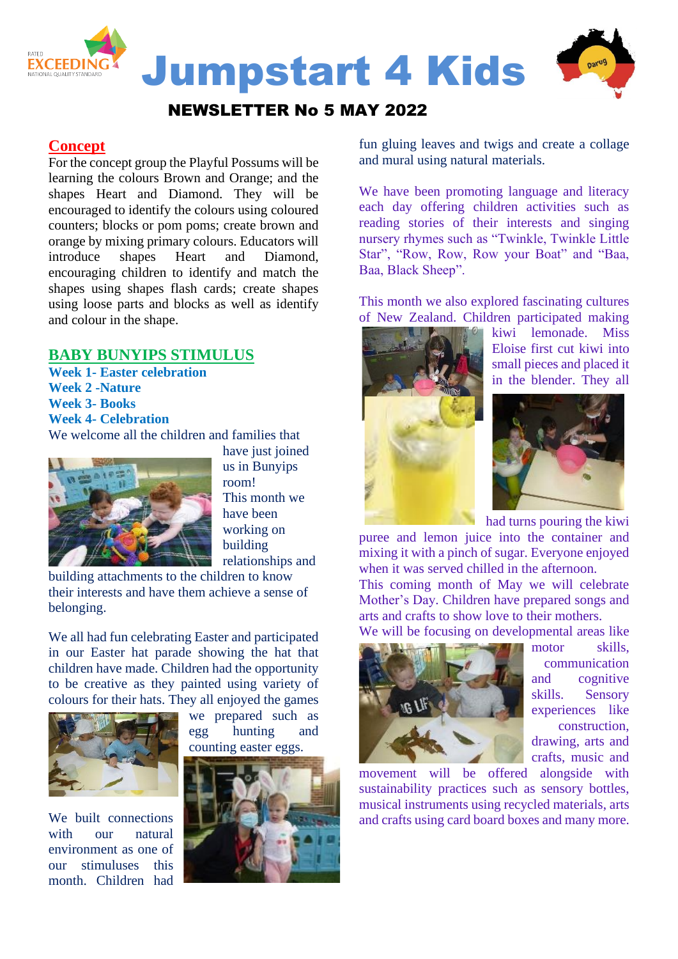



#### **Concept**

For the concept group the Playful Possums will be learning the colours Brown and Orange; and the shapes Heart and Diamond. They will be encouraged to identify the colours using coloured counters; blocks or pom poms; create brown and orange by mixing primary colours. Educators will introduce shapes Heart and Diamond, encouraging children to identify and match the shapes using shapes flash cards; create shapes using loose parts and blocks as well as identify and colour in the shape.

### **BABY BUNYIPS STIMULUS**

**Week 1- Easter celebration Week 2 -Nature Week 3- Books Week 4- Celebration** We welcome all the children and families that



have just joined us in Bunyips room! This month we have been working on building relationships and

building attachments to the children to know their interests and have them achieve a sense of belonging.

We all had fun celebrating Easter and participated in our Easter hat parade showing the hat that children have made. Children had the opportunity to be creative as they painted using variety of colours for their hats. They all enjoyed the games



We built connections with our natural environment as one of our stimuluses this month. Children had

egg hunting and counting easter eggs.

we prepared such as



fun gluing leaves and twigs and create a collage and mural using natural materials.

We have been promoting language and literacy each day offering children activities such as reading stories of their interests and singing nursery rhymes such as "Twinkle, Twinkle Little Star", "Row, Row, Row your Boat" and "Baa, Baa, Black Sheep".

This month we also explored fascinating cultures of New Zealand. Children participated making



kiwi lemonade. Miss Eloise first cut kiwi into small pieces and placed it in the blender. They all



had turns pouring the kiwi

puree and lemon juice into the container and mixing it with a pinch of sugar. Everyone enjoyed when it was served chilled in the afternoon.

This coming month of May we will celebrate Mother's Day. Children have prepared songs and arts and crafts to show love to their mothers.

We will be focusing on developmental areas like



motor skills, communication and cognitive skills. Sensory experiences like construction, drawing, arts and crafts, music and

movement will be offered alongside with sustainability practices such as sensory bottles, musical instruments using recycled materials, arts and crafts using card board boxes and many more.